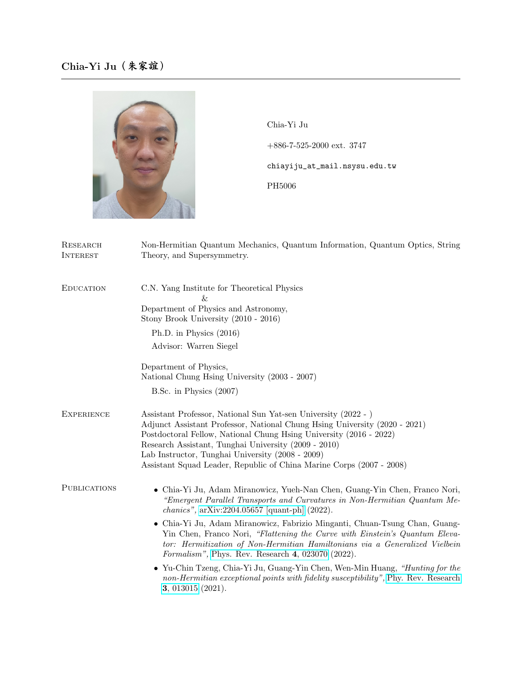

Chia-Yi Ju +886-7-525-2000 ext. 3747 chiayiju\_at\_mail.nsysu.edu.tw PH5006

| RESEARCH<br><b>INTEREST</b> | Non-Hermitian Quantum Mechanics, Quantum Information, Quantum Optics, String<br>Theory, and Supersymmetry.                                                                                                                                                                                                                                                                                             |
|-----------------------------|--------------------------------------------------------------------------------------------------------------------------------------------------------------------------------------------------------------------------------------------------------------------------------------------------------------------------------------------------------------------------------------------------------|
| <b>EDUCATION</b>            | C.N. Yang Institute for Theoretical Physics<br>Xг.<br>Department of Physics and Astronomy,<br>Stony Brook University (2010 - 2016)                                                                                                                                                                                                                                                                     |
|                             | Ph.D. in Physics (2016)<br>Advisor: Warren Siegel                                                                                                                                                                                                                                                                                                                                                      |
|                             | Department of Physics,<br>National Chung Hsing University (2003 - 2007)                                                                                                                                                                                                                                                                                                                                |
|                             | B.Sc. in Physics $(2007)$                                                                                                                                                                                                                                                                                                                                                                              |
| <b>EXPERIENCE</b>           | Assistant Professor, National Sun Yat-sen University (2022 - )<br>Adjunct Assistant Professor, National Chung Hsing University (2020 - 2021)<br>Postdoctoral Fellow, National Chung Hsing University (2016 - 2022)<br>Research Assistant, Tunghai University (2009 - 2010)<br>Lab Instructor, Tunghai University (2008 - 2009)<br>Assistant Squad Leader, Republic of China Marine Corps (2007 - 2008) |
| <b>PUBLICATIONS</b>         | • Chia-Yi Ju, Adam Miranowicz, Yueh-Nan Chen, Guang-Yin Chen, Franco Nori,<br>"Emergent Parallel Transports and Curvatures in Non-Hermitian Quantum Me-<br><i>chanics</i> ", $arXiv:2204.05657$ [quant-ph] $(2022)$ .                                                                                                                                                                                  |
|                             | • Chia-Yi Ju, Adam Miranowicz, Fabrizio Minganti, Chuan-Tsung Chan, Guang-<br>Yin Chen, Franco Nori, "Flattening the Curve with Einstein's Quantum Eleva-<br>tor: Hermitization of Non-Hermitian Hamiltonians via a Generalized Vielbein<br>Formalism", Phys. Rev. Research 4, 023070 (2022).                                                                                                          |
|                             | • Yu-Chin Tzeng, Chia-Yi Ju, Guang-Yin Chen, Wen-Min Huang, "Hunting for the<br>non-Hermitian exceptional points with fidelity susceptibility", Phy. Rev. Research<br>3, 013015 (2021).                                                                                                                                                                                                                |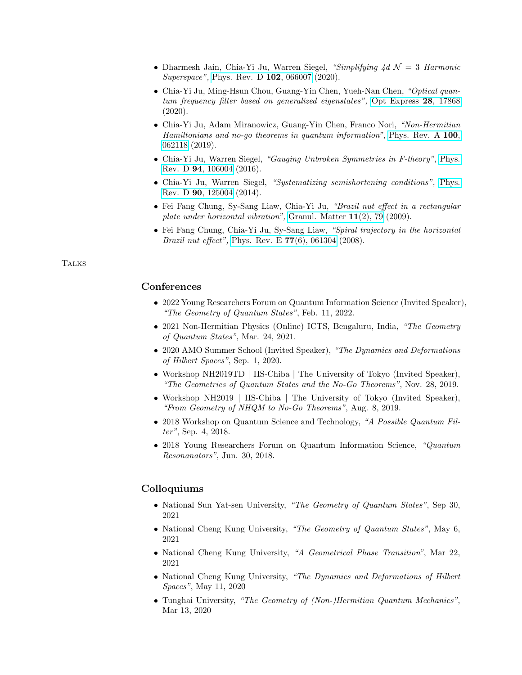- Dharmesh Jain, Chia-Yi Ju, Warren Siegel, "Simplifying  $\Delta d \mathcal{N} = 3$  Harmonic Superspace", [Phys. Rev. D](https://doi.org/10.1103/PhysRevD.102.066007) **102**, 066007 (2020).
- Chia-Yi Ju, Ming-Hsun Chou, Guang-Yin Chen, Yueh-Nan Chen, "Optical quantum frequency filter based on generalized eigenstates", [Opt Express](https://doi.org/10.1364/OE.395140) 28, 17868 (2020).
- Chia-Yi Ju, Adam Miranowicz, Guang-Yin Chen, Franco Nori, "Non-Hermitian Hamiltonians and no-go theorems in quantum information", [Phys. Rev. A](https://doi.org/10.1103/PhysRevA.100.062118) 100, [062118](https://doi.org/10.1103/PhysRevA.100.062118) (2019).
- Chia-Yi Ju, Warren Siegel, "Gauging Unbroken Symmetries in F-theory", [Phys.](https://doi.org/10.1103/PhysRevD.94.106004) Rev. D 94[, 106004](https://doi.org/10.1103/PhysRevD.94.106004) (2016).
- Chia-Yi Ju, Warren Siegel, "Systematizing semishortening conditions", [Phys.](https://doi.org/10.1103/PhysRevD.90.125004) Rev. D 90[, 125004](https://doi.org/10.1103/PhysRevD.90.125004) (2014).
- Fei Fang Chung, Sy-Sang Liaw, Chia-Yi Ju, "Brazil nut effect in a rectangular plate under horizontal vibration", [Granul. Matter](https://doi.org/10.1007/s10035-008-0122-2) 11(2), 79 (2009).
- Fei Fang Chung, Chia-Yi Ju, Sy-Sang Liaw, "Spiral trajectory in the horizontal *Brazil nut effect*", [Phys. Rev. E](https://doi.org/10.1103/PhysRevE.77.061304)  $77(6)$ , 061304 (2008).

## **TALKS**

## **Conferences**

- 2022 Young Researchers Forum on Quantum Information Science (Invited Speaker), "The Geometry of Quantum States", Feb. 11, 2022.
- 2021 Non-Hermitian Physics (Online) ICTS, Bengaluru, India, "The Geometry of Quantum States", Mar. 24, 2021.
- 2020 AMO Summer School (Invited Speaker), "The Dynamics and Deformations of Hilbert Spaces", Sep. 1, 2020.
- Workshop NH2019TD | IIS-Chiba | The University of Tokyo (Invited Speaker), "The Geometries of Quantum States and the No-Go Theorems", Nov. 28, 2019.
- Workshop NH2019 | IIS-Chiba | The University of Tokyo (Invited Speaker), "From Geometry of NHQM to No-Go Theorems", Aug. 8, 2019.
- 2018 Workshop on Quantum Science and Technology, "A Possible Quantum Filter", Sep. 4, 2018.
- 2018 Young Researchers Forum on Quantum Information Science, "Quantum Resonanators", Jun. 30, 2018.

## Colloquiums

- National Sun Yat-sen University, "The Geometry of Quantum States", Sep 30, 2021
- National Cheng Kung University, "The Geometry of Quantum States", May 6, 2021
- National Cheng Kung University, "A Geometrical Phase Transition", Mar 22, 2021
- National Cheng Kung University, "The Dynamics and Deformations of Hilbert Spaces", May 11, 2020
- Tunghai University, "The Geometry of (Non-)Hermitian Quantum Mechanics", Mar 13, 2020